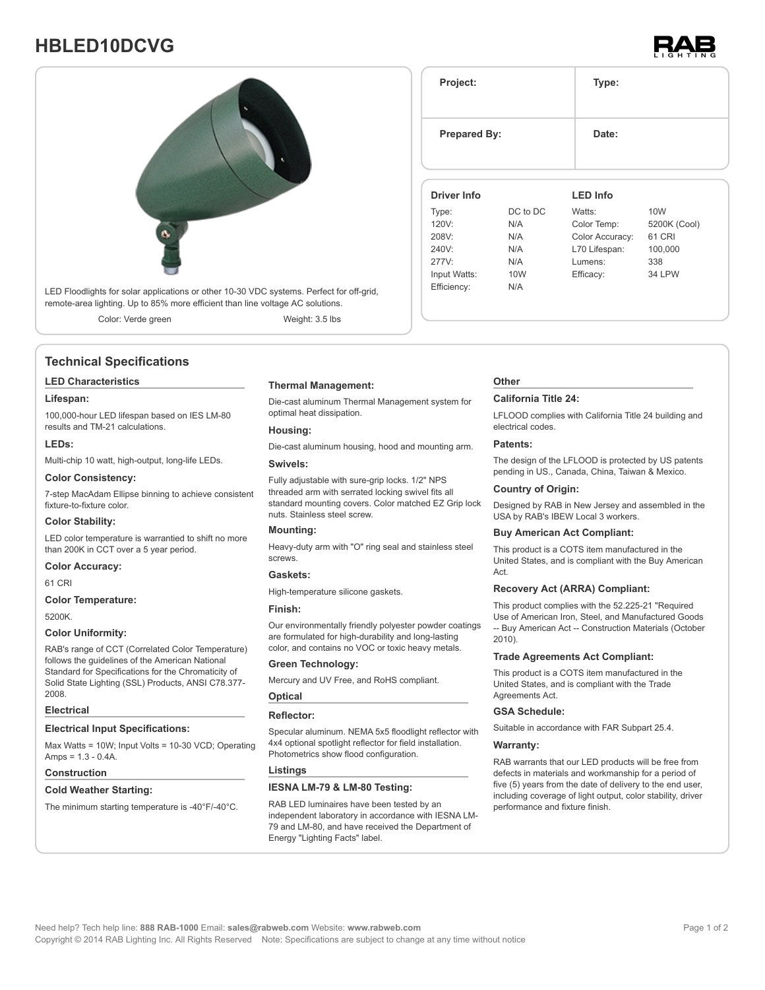# **HBLED10DCVG**





## **Technical Specifications**

### **LED Characteristics**

### **Lifespan:**

100,000-hour LED lifespan based on IES LM-80 results and TM-21 calculations.

### **LEDs:**

Multi-chip 10 watt, high-output, long-life LEDs.

### **Color Consistency:**

7-step MacAdam Ellipse binning to achieve consistent fixture-to-fixture color.

### **Color Stability:**

LED color temperature is warrantied to shift no more than 200K in CCT over a 5 year period.

### **Color Accuracy:**

61 CRI

### **Color Temperature:**

5200K.

### **Color Uniformity:**

RAB's range of CCT (Correlated Color Temperature) follows the guidelines of the American National Standard for Specifications for the Chromaticity of Solid State Lighting (SSL) Products, ANSI C78.377- 2008.

### **Electrical**

### **Electrical Input Specifications:**

Max Watts = 10W; Input Volts = 10-30 VCD; Operating Amps =  $1.3 - 0.4A$ .

### **Construction**

### **Cold Weather Starting:**

The minimum starting temperature is -40°F/-40°C.

### **Thermal Management:**

Die-cast aluminum Thermal Management system for optimal heat dissipation.

### **Housing:**

Die-cast aluminum housing, hood and mounting arm.

### **Swivels:**

Fully adjustable with sure-grip locks. 1/2" NPS threaded arm with serrated locking swivel fits all standard mounting covers. Color matched EZ Grip lock nuts. Stainless steel screw.

### **Mounting:**

Heavy-duty arm with "O" ring seal and stainless steel screws.

## **Gaskets:**

High-temperature silicone gaskets.

## **Finish:**

Our environmentally friendly polyester powder coatings are formulated for high-durability and long-lasting color, and contains no VOC or toxic heavy metals.

### **Green Technology:**

Mercury and UV Free, and RoHS compliant.

### **Optical Reflector:**

Specular aluminum. NEMA 5x5 floodlight reflector with 4x4 optional spotlight reflector for field installation. Photometrics show flood configuration.

### **Listings**

### **IESNA LM-79 & LM-80 Testing:**

RAB LED luminaires have been tested by an independent laboratory in accordance with IESNA LM-79 and LM-80, and have received the Department of Energy "Lighting Facts" label.

| <b>Prepared By:</b> |          | Date:           |                 |
|---------------------|----------|-----------------|-----------------|
| <b>Driver Info</b>  |          | <b>LED Info</b> |                 |
| Type:               | DC to DC | Watts:          | 10 <sub>W</sub> |
| 120V:               | N/A      | Color Temp:     | 5200K (Cool)    |
| 208V:               | N/A      | Color Accuracy: | 61 CRI          |
| 240V:               | N/A      | L70 Lifespan:   | 100,000         |
| 277V:               | N/A      | Lumens:         | 338             |
| Input Watts:        | 10W      | Efficacy:       | <b>34 LPW</b>   |
|                     | N/A      |                 |                 |

**Project: Type:**

### **Other**

### **California Title 24:**

LFLOOD complies with California Title 24 building and electrical codes.

### **Patents:**

The design of the LFLOOD is protected by US patents pending in US., Canada, China, Taiwan & Mexico.

### **Country of Origin:**

Designed by RAB in New Jersey and assembled in the USA by RAB's IBEW Local 3 workers.

### **Buy American Act Compliant:**

This product is a COTS item manufactured in the United States, and is compliant with the Buy American Act.

### **Recovery Act (ARRA) Compliant:**

This product complies with the 52.225-21 "Required Use of American Iron, Steel, and Manufactured Goods -- Buy American Act -- Construction Materials (October 2010).

### **Trade Agreements Act Compliant:**

This product is a COTS item manufactured in the United States, and is compliant with the Trade Agreements Act.

### **GSA Schedule:**

Suitable in accordance with FAR Subpart 25.4.

### **Warranty:**

RAB warrants that our LED products will be free from defects in materials and workmanship for a period of five (5) years from the date of delivery to the end user, including coverage of light output, color stability, driver performance and fixture finish.